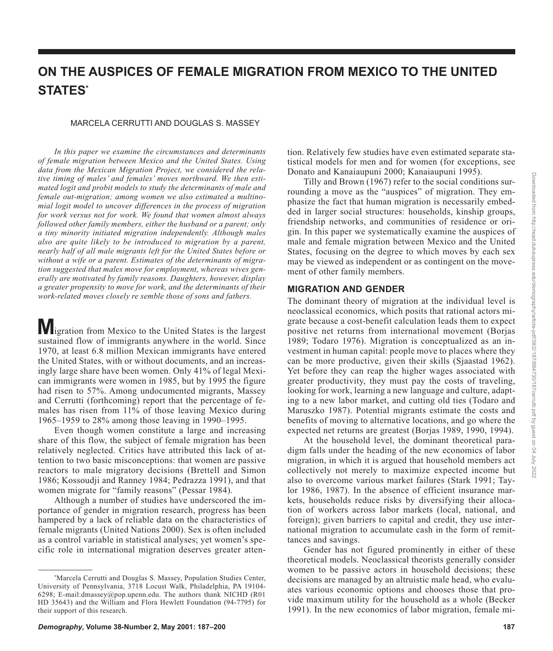# **ON THE AUSPICES OF FEMALE MIGRATION FROM MEXICO TO THE UNITED STATES\***

#### MARCELA CERRUTTI AND DOUGLAS S. MASSEY

*In this paper we examine the circumstances and determinants of female migration between Mexico and the United States. Using data from the Mexican Migration Project, we considered the relative timing of males' and females' moves northward. We then estimated logit and probit models to study the determinants of male and female out-migration; among women we also estimated a multinomial logit model to uncover differences in the process of migration for work versus not for work. We found that women almost always followed other family members, either the husband or a parent; only a tiny minority initiated migration independently. Although males also are quite likely to be introduced to migration by a parent, nearly half of all male migrants left for the United States before or without a wife or a parent. Estimates of the determinants of migration suggested that males move for employment, whereas wives generally are motivated by family reasons. Daughters, however, display a greater propensity to move for work, and the determinants of their work-related moves closely re semble those of sons and fathers.*

**M** igration from Mexico to the United States is the largest sustained flow of immigrants anywhere in the world. Since 1970, at least 6.8 million Mexican immigrants have entered the United States, with or without documents, and an increasingly large share have been women. Only 41% of legal Mexican immigrants were women in 1985, but by 1995 the figure had risen to 57%. Among undocumented migrants, Massey and Cerrutti (forthcoming) report that the percentage of females has risen from 11% of those leaving Mexico during 1965–1959 to 28% among those leaving in 1990–1995.

Even though women constitute a large and increasing share of this flow, the subject of female migration has been relatively neglected. Critics have attributed this lack of attention to two basic misconceptions: that women are passive reactors to male migratory decisions (Brettell and Simon 1986; Kossoudji and Ranney 1984; Pedrazza 1991), and that women migrate for "family reasons" (Pessar 1984).

Although a number of studies have underscored the importance of gender in migration research, progress has been hampered by a lack of reliable data on the characteristics of female migrants (United Nations 2000). Sex is often included as a control variable in statistical analyses; yet women's specific role in international migration deserves greater attention. Relatively few studies have even estimated separate statistical models for men and for women (for exceptions, see Donato and Kanaiaupuni 2000; Kanaiaupuni 1995).

Tilly and Brown (1967) refer to the social conditions surrounding a move as the "auspices" of migration. They emphasize the fact that human migration is necessarily embedded in larger social structures: households, kinship groups, friendship networks, and communities of residence or origin. In this paper we systematically examine the auspices of male and female migration between Mexico and the United States, focusing on the degree to which moves by each sex may be viewed as independent or as contingent on the movement of other family members.

## **MIGRATION AND GENDER**

The dominant theory of migration at the individual level is neoclassical economics, which posits that rational actors migrate because a cost-benefit calculation leads them to expect positive net returns from international movement (Borjas 1989; Todaro 1976). Migration is conceptualized as an investment in human capital: people move to places where they can be more productive, given their skills (Sjaastad 1962). Yet before they can reap the higher wages associated with greater productivity, they must pay the costs of traveling, looking for work, learning a new language and culture, adapting to a new labor market, and cutting old ties (Todaro and Maruszko 1987). Potential migrants estimate the costs and benefits of moving to alternative locations, and go where the expected net returns are greatest (Borjas 1989, 1990, 1994).

At the household level, the dominant theoretical paradigm falls under the heading of the new economics of labor migration, in which it is argued that household members act collectively not merely to maximize expected income but also to overcome various market failures (Stark 1991; Taylor 1986, 1987). In the absence of efficient insurance markets, households reduce risks by diversifying their allocation of workers across labor markets (local, national, and foreign); given barriers to capital and credit, they use international migration to accumulate cash in the form of remittances and savings.

Gender has not figured prominently in either of these theoretical models. Neoclassical theorists generally consider women to be passive actors in household decisions; these decisions are managed by an altruistic male head, who evaluates various economic options and chooses those that provide maximum utility for the household as a whole (Becker 1991). In the new economics of labor migration, female mi-

<sup>\*</sup> Marcela Cerrutti and Douglas S. Massey, Population Studies Center, University of Pennsylvania, 3718 Locust Walk, Philadelphia, PA 19104- 6298; E-mail:dmassey@pop.upenn.edu. The authors thank NICHD (R01 HD 35643) and the William and Flora Hewlett Foundation (94-7795) for their support of this research.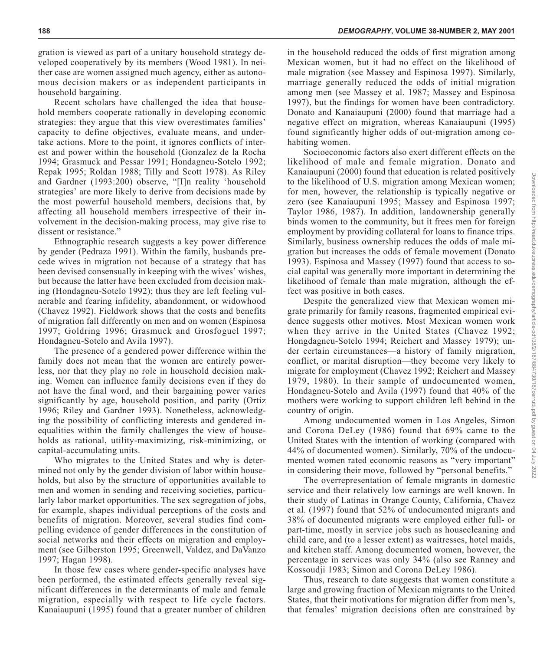Recent scholars have challenged the idea that household members cooperate rationally in developing economic strategies: they argue that this view overestimates families' capacity to define objectives, evaluate means, and undertake actions. More to the point, it ignores conflicts of interest and power within the household (Gonzalez de la Rocha 1994; Grasmuck and Pessar 1991; Hondagneu-Sotelo 1992; Repak 1995; Roldan 1988; Tilly and Scott 1978). As Riley and Gardner (1993:200) observe, "[I]n reality 'household strategies' are more likely to derive from decisions made by the most powerful household members, decisions that, by affecting all household members irrespective of their involvement in the decision-making process, may give rise to dissent or resistance."

Ethnographic research suggests a key power difference by gender (Pedraza 1991). Within the family, husbands precede wives in migration not because of a strategy that has been devised consensually in keeping with the wives' wishes, but because the latter have been excluded from decision making (Hondagneu-Sotelo 1992); thus they are left feeling vulnerable and fearing infidelity, abandonment, or widowhood (Chavez 1992). Fieldwork shows that the costs and benefits of migration fall differently on men and on women (Espinosa 1997; Goldring 1996; Grasmuck and Grosfoguel 1997; Hondagneu-Sotelo and Avila 1997).

The presence of a gendered power difference within the family does not mean that the women are entirely powerless, nor that they play no role in household decision making. Women can influence family decisions even if they do not have the final word, and their bargaining power varies significantly by age, household position, and parity (Ortiz 1996; Riley and Gardner 1993). Nonetheless, acknowledging the possibility of conflicting interests and gendered inequalities within the family challenges the view of households as rational, utility-maximizing, risk-minimizing, or capital-accumulating units.

Who migrates to the United States and why is determined not only by the gender division of labor within households, but also by the structure of opportunities available to men and women in sending and receiving societies, particularly labor market opportunities. The sex segregation of jobs, for example, shapes individual perceptions of the costs and benefits of migration. Moreover, several studies find compelling evidence of gender differences in the constitution of social networks and their effects on migration and employment (see Gilberston 1995; Greenwell, Valdez, and DaVanzo 1997; Hagan 1998).

In those few cases where gender-specific analyses have been performed, the estimated effects generally reveal significant differences in the determinants of male and female migration, especially with respect to life cycle factors. Kanaiaupuni (1995) found that a greater number of children

in the household reduced the odds of first migration among Mexican women, but it had no effect on the likelihood of male migration (see Massey and Espinosa 1997). Similarly, marriage generally reduced the odds of initial migration among men (see Massey et al. 1987; Massey and Espinosa 1997), but the findings for women have been contradictory. Donato and Kanaiaupuni (2000) found that marriage had a negative effect on migration, whereas Kanaiaupuni (1995) found significantly higher odds of out-migration among cohabiting women.

Socioeconomic factors also exert different effects on the likelihood of male and female migration. Donato and Kanaiaupuni (2000) found that education is related positively to the likelihood of U.S. migration among Mexican women; for men, however, the relationship is typically negative or zero (see Kanaiaupuni 1995; Massey and Espinosa 1997; Taylor 1986, 1987). In addition, landownership generally binds women to the community, but it frees men for foreign employment by providing collateral for loans to finance trips. Similarly, business ownership reduces the odds of male migration but increases the odds of female movement (Donato 1993). Espinosa and Massey (1997) found that access to social capital was generally more important in determining the likelihood of female than male migration, although the effect was positive in both cases.

Despite the generalized view that Mexican women migrate primarily for family reasons, fragmented empirical evidence suggests other motives. Most Mexican women work when they arrive in the United States (Chavez 1992; Hongdagneu-Sotelo 1994; Reichert and Massey 1979); under certain circumstances—a history of family migration, conflict, or marital disruption—they become very likely to migrate for employment (Chavez 1992; Reichert and Massey 1979, 1980). In their sample of undocumented women, Hondagneu-Sotelo and Avila (1997) found that 40% of the mothers were working to support children left behind in the country of origin.

Among undocumented women in Los Angeles, Simon and Corona DeLey (1986) found that 69% came to the United States with the intention of working (compared with 44% of documented women). Similarly, 70% of the undocumented women rated economic reasons as "very important" in considering their move, followed by "personal benefits."

The overrepresentation of female migrants in domestic service and their relatively low earnings are well known. In their study of Latinas in Orange County, California, Chavez et al. (1997) found that 52% of undocumented migrants and 38% of documented migrants were employed either full- or part-time, mostly in service jobs such as housecleaning and child care, and (to a lesser extent) as waitresses, hotel maids, and kitchen staff. Among documented women, however, the percentage in services was only 34% (also see Ranney and Kossoudji 1983; Simon and Corona DeLey 1986).

Thus, research to date suggests that women constitute a large and growing fraction of Mexican migrants to the United States, that their motivations for migration differ from men's, that females' migration decisions often are constrained by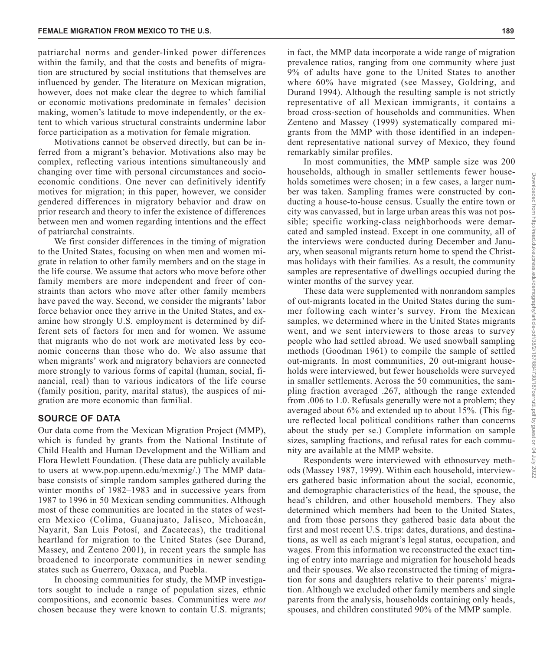patriarchal norms and gender-linked power differences within the family, and that the costs and benefits of migration are structured by social institutions that themselves are influenced by gender. The literature on Mexican migration, however, does not make clear the degree to which familial or economic motivations predominate in females' decision making, women's latitude to move independently, or the extent to which various structural constraints undermine labor force participation as a motivation for female migration.

Motivations cannot be observed directly, but can be inferred from a migrant's behavior. Motivations also may be complex, reflecting various intentions simultaneously and changing over time with personal circumstances and socioeconomic conditions. One never can definitively identify motives for migration; in this paper, however, we consider gendered differences in migratory behavior and draw on prior research and theory to infer the existence of differences between men and women regarding intentions and the effect of patriarchal constraints.

We first consider differences in the timing of migration to the United States, focusing on when men and women migrate in relation to other family members and on the stage in the life course. We assume that actors who move before other family members are more independent and freer of constraints than actors who move after other family members have paved the way. Second, we consider the migrants' labor force behavior once they arrive in the United States, and examine how strongly U.S. employment is determined by different sets of factors for men and for women. We assume that migrants who do not work are motivated less by economic concerns than those who do. We also assume that when migrants' work and migratory behaviors are connected more strongly to various forms of capital (human, social, financial, real) than to various indicators of the life course (family position, parity, marital status), the auspices of migration are more economic than familial.

#### **SOURCE OF DATA**

Our data come from the Mexican Migration Project (MMP), which is funded by grants from the National Institute of Child Health and Human Development and the William and Flora Hewlett Foundation. (These data are publicly available to users at www.pop.upenn.edu/mexmig/.) The MMP database consists of simple random samples gathered during the winter months of 1982–1983 and in successive years from 1987 to 1996 in 50 Mexican sending communities. Although most of these communities are located in the states of western Mexico (Colima, Guanajuato, Jalisco, Michoacán, Nayarit, San Luis Potosí, and Zacatecas), the traditional heartland for migration to the United States (see Durand, Massey, and Zenteno 2001), in recent years the sample has broadened to incorporate communities in newer sending states such as Guerrero, Oaxaca, and Puebla.

In choosing communities for study, the MMP investigators sought to include a range of population sizes, ethnic compositions, and economic bases. Communities were *not* chosen because they were known to contain U.S. migrants; in fact, the MMP data incorporate a wide range of migration prevalence ratios, ranging from one community where just 9% of adults have gone to the United States to another where 60% have migrated (see Massey, Goldring, and Durand 1994). Although the resulting sample is not strictly representative of all Mexican immigrants, it contains a broad cross-section of households and communities. When Zenteno and Massey (1999) systematically compared migrants from the MMP with those identified in an independent representative national survey of Mexico, they found remarkably similar profiles.

In most communities, the MMP sample size was 200 households, although in smaller settlements fewer households sometimes were chosen; in a few cases, a larger number was taken. Sampling frames were constructed by conducting a house-to-house census. Usually the entire town or city was canvassed, but in large urban areas this was not possible; specific working-class neighborhoods were demarcated and sampled instead. Except in one community, all of the interviews were conducted during December and January, when seasonal migrants return home to spend the Christmas holidays with their families. As a result, the community samples are representative of dwellings occupied during the winter months of the survey year.

These data were supplemented with nonrandom samples of out-migrants located in the United States during the summer following each winter's survey. From the Mexican samples, we determined where in the United States migrants went, and we sent interviewers to those areas to survey people who had settled abroad. We used snowball sampling methods (Goodman 1961) to compile the sample of settled out-migrants. In most communities, 20 out-migrant households were interviewed, but fewer households were surveyed in smaller settlements. Across the 50 communities, the sampling fraction averaged .267, although the range extended from .006 to 1.0. Refusals generally were not a problem; they averaged about 6% and extended up to about 15%. (This figure reflected local political conditions rather than concerns about the study per se.) Complete information on sample sizes, sampling fractions, and refusal rates for each community are available at the MMP website.

Respondents were interviewed with ethnosurvey methods (Massey 1987, 1999). Within each household, interviewers gathered basic information about the social, economic, and demographic characteristics of the head, the spouse, the head's children, and other household members. They also determined which members had been to the United States, and from those persons they gathered basic data about the first and most recent U.S. trips: dates, durations, and destinations, as well as each migrant's legal status, occupation, and wages. From this information we reconstructed the exact timing of entry into marriage and migration for household heads and their spouses. We also reconstructed the timing of migration for sons and daughters relative to their parents' migration. Although we excluded other family members and single parents from the analysis, households containing only heads, spouses, and children constituted 90% of the MMP sample.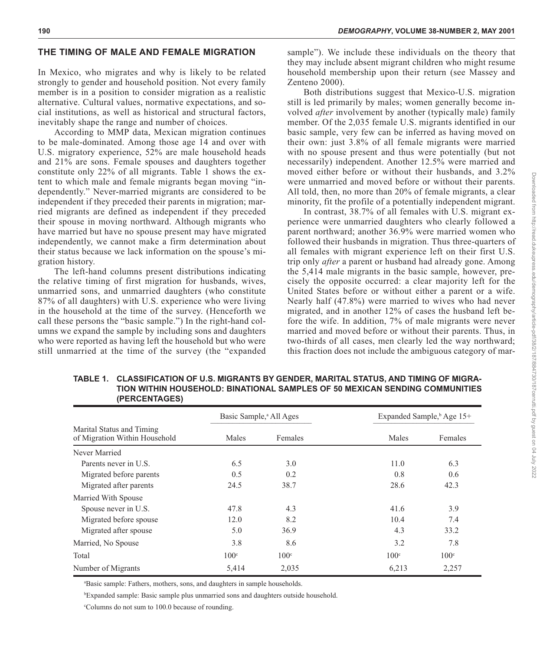#### **<sup>190</sup>** *DEMOGRAPHY***, VOLUME 38-NUMBER 2, MAY 2001**

# **THE TIMING OF MALE AND FEMALE MIGRATION**

In Mexico, who migrates and why is likely to be related strongly to gender and household position. Not every family member is in a position to consider migration as a realistic alternative. Cultural values, normative expectations, and social institutions, as well as historical and structural factors, inevitably shape the range and number of choices.

According to MMP data, Mexican migration continues to be male-dominated. Among those age 14 and over with U.S. migratory experience, 52% are male household heads and 21% are sons. Female spouses and daughters together constitute only 22% of all migrants. Table 1 shows the extent to which male and female migrants began moving "independently." Never-married migrants are considered to be independent if they preceded their parents in migration; married migrants are defined as independent if they preceded their spouse in moving northward. Although migrants who have married but have no spouse present may have migrated independently, we cannot make a firm determination about their status because we lack information on the spouse's migration history.

The left-hand columns present distributions indicating the relative timing of first migration for husbands, wives, unmarried sons, and unmarried daughters (who constitute 87% of all daughters) with U.S. experience who were living in the household at the time of the survey. (Henceforth we call these persons the "basic sample.") In the right-hand columns we expand the sample by including sons and daughters who were reported as having left the household but who were still unmarried at the time of the survey (the "expanded

sample"). We include these individuals on the theory that they may include absent migrant children who might resume household membership upon their return (see Massey and Zenteno 2000).

Both distributions suggest that Mexico-U.S. migration still is led primarily by males; women generally become involved *after* involvement by another (typically male) family member. Of the 2,035 female U.S. migrants identified in our basic sample, very few can be inferred as having moved on their own: just 3.8% of all female migrants were married with no spouse present and thus were potentially (but not necessarily) independent. Another 12.5% were married and moved either before or without their husbands, and 3.2% were unmarried and moved before or without their parents. All told, then, no more than 20% of female migrants, a clear minority, fit the profile of a potentially independent migrant.

In contrast, 38.7% of all females with U.S. migrant experience were unmarried daughters who clearly followed a parent northward; another 36.9% were married women who followed their husbands in migration. Thus three-quarters of all females with migrant experience left on their first U.S. trip only *after* a parent or husband had already gone. Among the 5,414 male migrants in the basic sample, however, precisely the opposite occurred: a clear majority left for the United States before or without either a parent or a wife. Nearly half (47.8%) were married to wives who had never migrated, and in another 12% of cases the husband left before the wife. In addition, 7% of male migrants were never married and moved before or without their parents. Thus, in two-thirds of all cases, men clearly led the way northward; this fraction does not include the ambiguous category of mar-

|                                                            | Basic Sample, <sup>a</sup> All Ages |                  | Expanded Sample, $\frac{b}{2}$ Age 15+ |                  |
|------------------------------------------------------------|-------------------------------------|------------------|----------------------------------------|------------------|
| Marital Status and Timing<br>of Migration Within Household | Males                               | Females          | Males                                  | Females          |
| Never Married                                              |                                     |                  |                                        |                  |
| Parents never in U.S.                                      | 6.5                                 | 3.0              | 11.0                                   | 6.3              |
| Migrated before parents                                    | 0.5                                 | 0.2              | 0.8                                    | 0.6              |
| Migrated after parents                                     | 24.5                                | 38.7             | 28.6                                   | 42.3             |
| Married With Spouse                                        |                                     |                  |                                        |                  |
| Spouse never in U.S.                                       | 47.8                                | 4.3              | 41.6                                   | 3.9              |
| Migrated before spouse                                     | 12.0                                | 8.2              | 10.4                                   | 7.4              |
| Migrated after spouse                                      | 5.0                                 | 36.9             | 4.3                                    | 33.2             |
| Married, No Spouse                                         | 3.8                                 | 8.6              | 3.2                                    | 7.8              |
| Total                                                      | 100 <sup>c</sup>                    | 100 <sup>c</sup> | 100 <sup>c</sup>                       | 100 <sup>c</sup> |
| Number of Migrants                                         | 5,414                               | 2,035            | 6,213                                  | 2,257            |

**TABLE 1. CLASSIFICATION OF U.S. MIGRANTS BY GENDER, MARITAL STATUS, AND TIMING OF MIGRA-TION WITHIN HOUSEHOLD: BINATIONAL SAMPLES OF 50 MEXICAN SENDING COMMUNITIES (PERCENTAGES)**

a Basic sample: Fathers, mothers, sons, and daughters in sample households.

b Expanded sample: Basic sample plus unmarried sons and daughters outside household.

c Columns do not sum to 100.0 because of rounding.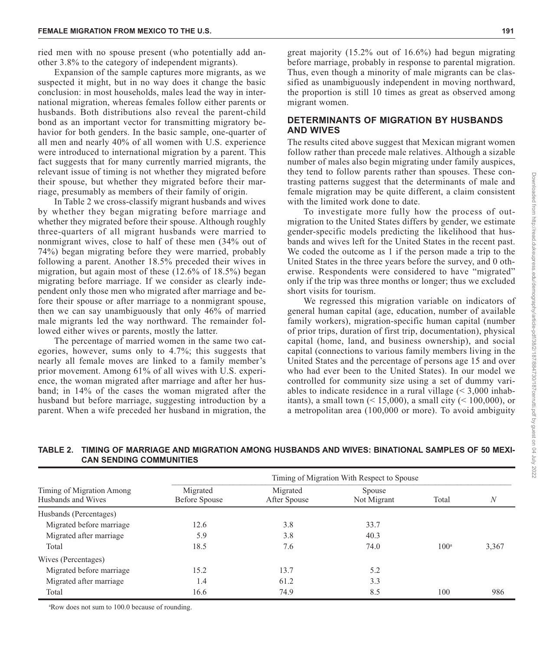ried men with no spouse present (who potentially add another 3.8% to the category of independent migrants).

Expansion of the sample captures more migrants, as we suspected it might, but in no way does it change the basic conclusion: in most households, males lead the way in international migration, whereas females follow either parents or husbands. Both distributions also reveal the parent-child bond as an important vector for transmitting migratory behavior for both genders. In the basic sample, one-quarter of all men and nearly 40% of all women with U.S. experience were introduced to international migration by a parent. This fact suggests that for many currently married migrants, the relevant issue of timing is not whether they migrated before their spouse, but whether they migrated before their marriage, presumably as members of their family of origin.

In Table 2 we cross-classify migrant husbands and wives by whether they began migrating before marriage and whether they migrated before their spouse. Although roughly three-quarters of all migrant husbands were married to nonmigrant wives, close to half of these men (34% out of 74%) began migrating before they were married, probably following a parent. Another 18.5% preceded their wives in migration, but again most of these (12.6% of 18.5%) began migrating before marriage. If we consider as clearly independent only those men who migrated after marriage and before their spouse or after marriage to a nonmigrant spouse, then we can say unambiguously that only 46% of married male migrants led the way northward. The remainder followed either wives or parents, mostly the latter.

The percentage of married women in the same two categories, however, sums only to 4.7%; this suggests that nearly all female moves are linked to a family member's prior movement. Among 61% of all wives with U.S. experience, the woman migrated after marriage and after her husband; in 14% of the cases the woman migrated after the husband but before marriage, suggesting introduction by a parent. When a wife preceded her husband in migration, the

great majority (15.2% out of 16.6%) had begun migrating before marriage, probably in response to parental migration. Thus, even though a minority of male migrants can be classified as unambiguously independent in moving northward, the proportion is still 10 times as great as observed among migrant women.

#### **DETERMINANTS OF MIGRATION BY HUSBANDS AND WIVES**

The results cited above suggest that Mexican migrant women follow rather than precede male relatives. Although a sizable number of males also begin migrating under family auspices, they tend to follow parents rather than spouses. These contrasting patterns suggest that the determinants of male and female migration may be quite different, a claim consistent with the limited work done to date.

To investigate more fully how the process of outmigration to the United States differs by gender, we estimate gender-specific models predicting the likelihood that husbands and wives left for the United States in the recent past. We coded the outcome as 1 if the person made a trip to the United States in the three years before the survey, and 0 otherwise. Respondents were considered to have "migrated" only if the trip was three months or longer; thus we excluded short visits for tourism.

We regressed this migration variable on indicators of general human capital (age, education, number of available family workers), migration-specific human capital (number of prior trips, duration of first trip, documentation), physical capital (home, land, and business ownership), and social capital (connections to various family members living in the United States and the percentage of persons age 15 and over who had ever been to the United States). In our model we controlled for community size using a set of dummy variables to indicate residence in a rural village (< 3,000 inhabitants), a small town  $(15,000)$ , a small city  $(100,000)$ , or a metropolitan area (100,000 or more). To avoid ambiguity

# **TABLE 2. TIMING OF MARRIAGE AND MIGRATION AMONG HUSBANDS AND WIVES: BINATIONAL SAMPLES OF 50 MEXI-CAN SENDING COMMUNITIES**

|                                                 | Timing of Migration With Respect to Spouse |                          |                       |               |       |  |  |
|-------------------------------------------------|--------------------------------------------|--------------------------|-----------------------|---------------|-------|--|--|
| Timing of Migration Among<br>Husbands and Wives | Migrated<br>Before Spouse                  | Migrated<br>After Spouse | Spouse<br>Not Migrant | Total<br>N    |       |  |  |
| Husbands (Percentages)                          |                                            |                          |                       |               |       |  |  |
| Migrated before marriage                        | 12.6                                       | 3.8                      | 33.7                  |               |       |  |  |
| Migrated after marriage                         | 5.9                                        | 3.8                      | 40.3                  |               |       |  |  |
| Total                                           | 18.5                                       | 7.6                      | 74.0                  | $100^{\rm a}$ | 3,367 |  |  |
| Wives (Percentages)                             |                                            |                          |                       |               |       |  |  |
| Migrated before marriage                        | 15.2                                       | 13.7                     | 5.2                   |               |       |  |  |
| Migrated after marriage                         | 1.4                                        | 61.2                     | 3.3                   |               |       |  |  |
| Total                                           | 16.6                                       | 74.9                     | 8.5                   | 100           | 986   |  |  |

a Row does not sum to 100.0 because of rounding.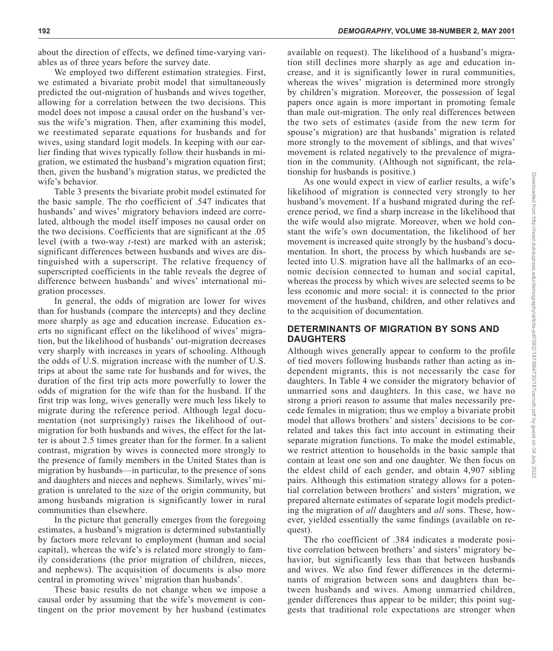about the direction of effects, we defined time-varying variables as of three years before the survey date.

We employed two different estimation strategies. First, we estimated a bivariate probit model that simultaneously predicted the out-migration of husbands and wives together, allowing for a correlation between the two decisions. This model does not impose a causal order on the husband's versus the wife's migration. Then, after examining this model, we reestimated separate equations for husbands and for wives, using standard logit models. In keeping with our earlier finding that wives typically follow their husbands in migration, we estimated the husband's migration equation first; then, given the husband's migration status, we predicted the wife's behavior.

Table 3 presents the bivariate probit model estimated for the basic sample. The rho coefficient of .547 indicates that husbands' and wives' migratory behaviors indeed are correlated, although the model itself imposes no causal order on the two decisions. Coefficients that are significant at the .05 level (with a two-way *t*-test) are marked with an asterisk; significant differences between husbands and wives are distinguished with a superscript. The relative frequency of superscripted coefficients in the table reveals the degree of difference between husbands' and wives' international migration processes.

In general, the odds of migration are lower for wives than for husbands (compare the intercepts) and they decline more sharply as age and education increase. Education exerts no significant effect on the likelihood of wives' migration, but the likelihood of husbands' out-migration decreases very sharply with increases in years of schooling. Although the odds of U.S. migration increase with the number of U.S. trips at about the same rate for husbands and for wives, the duration of the first trip acts more powerfully to lower the odds of migration for the wife than for the husband. If the first trip was long, wives generally were much less likely to migrate during the reference period. Although legal documentation (not surprisingly) raises the likelihood of outmigration for both husbands and wives, the effect for the latter is about 2.5 times greater than for the former. In a salient contrast, migration by wives is connected more strongly to the presence of family members in the United States than is migration by husbands—in particular, to the presence of sons and daughters and nieces and nephews. Similarly, wives' migration is unrelated to the size of the origin community, but among husbands migration is significantly lower in rural communities than elsewhere.

In the picture that generally emerges from the foregoing estimates, a husband's migration is determined substantially by factors more relevant to employment (human and social capital), whereas the wife's is related more strongly to family considerations (the prior migration of children, nieces, and nephews). The acquisition of documents is also more central in promoting wives' migration than husbands'.

These basic results do not change when we impose a causal order by assuming that the wife's movement is contingent on the prior movement by her husband (estimates available on request). The likelihood of a husband's migration still declines more sharply as age and education increase, and it is significantly lower in rural communities, whereas the wives' migration is determined more strongly by children's migration. Moreover, the possession of legal papers once again is more important in promoting female than male out-migration. The only real differences between the two sets of estimates (aside from the new term for spouse's migration) are that husbands' migration is related more strongly to the movement of siblings, and that wives' movement is related negatively to the prevalence of migration in the community. (Although not significant, the relationship for husbands is positive.)

As one would expect in view of earlier results, a wife's likelihood of migration is connected very strongly to her husband's movement. If a husband migrated during the reference period, we find a sharp increase in the likelihood that the wife would also migrate. Moreover, when we hold constant the wife's own documentation, the likelihood of her movement is increased quite strongly by the husband's documentation. In short, the process by which husbands are selected into U.S. migration have all the hallmarks of an economic decision connected to human and social capital, whereas the process by which wives are selected seems to be less economic and more social: it is connected to the prior movement of the husband, children, and other relatives and to the acquisition of documentation.

#### **DETERMINANTS OF MIGRATION BY SONS AND DAUGHTERS**

Although wives generally appear to conform to the profile of tied movers following husbands rather than acting as independent migrants, this is not necessarily the case for daughters. In Table 4 we consider the migratory behavior of unmarried sons and daughters. In this case, we have no strong a priori reason to assume that males necessarily precede females in migration; thus we employ a bivariate probit model that allows brothers' and sisters' decisions to be correlated and takes this fact into account in estimating their separate migration functions. To make the model estimable, we restrict attention to households in the basic sample that contain at least one son and one daughter. We then focus on the eldest child of each gender, and obtain 4,907 sibling pairs. Although this estimation strategy allows for a potential correlation between brothers' and sisters' migration, we prepared alternate estimates of separate logit models predicting the migration of *all* daughters and *all* sons. These, however, yielded essentially the same findings (available on request).

The rho coefficient of .384 indicates a moderate positive correlation between brothers' and sisters' migratory behavior, but significantly less than that between husbands and wives. We also find fewer differences in the determinants of migration between sons and daughters than between husbands and wives. Among unmarried children, gender differences thus appear to be milder; this point suggests that traditional role expectations are stronger when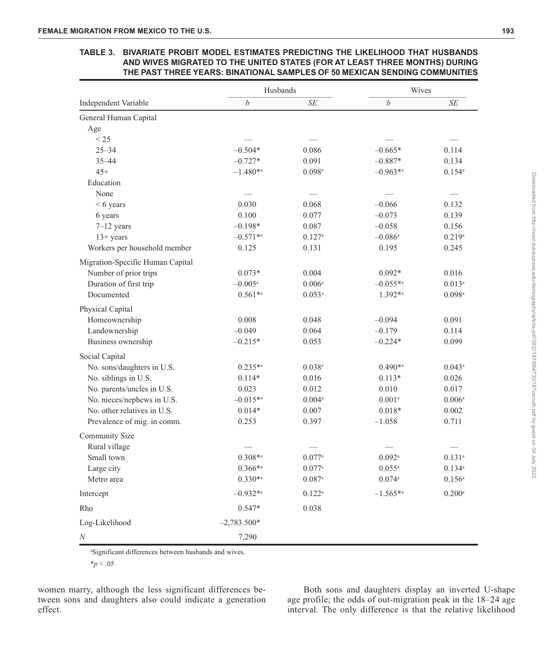# **TABLE 3. BIVARIATE PROBIT MODEL ESTIMATES PREDICTING THE LIKELIHOOD THAT HUSBANDS AND WIVES MIGRATED TO THE UNITED STATES (FOR AT LEAST THREE MONTHS) DURING THE PAST THREE YEARS: BINATIONAL SAMPLES OF 50 MEXICAN SENDING COMMUNITIES**

|                                  | Husbands              |                      | Wives                 |                      |
|----------------------------------|-----------------------|----------------------|-----------------------|----------------------|
| Independent Variable             | $\boldsymbol{b}$      | <b>SE</b>            | $\boldsymbol{b}$      | SE                   |
| General Human Capital            |                       |                      |                       |                      |
| Age                              |                       |                      |                       |                      |
| < 25                             |                       |                      |                       |                      |
| $25 - 34$                        | $-0.504*$             | 0.086                | $-0.665*$             | 0.114                |
| $35 - 44$                        | $-0.727*$             | 0.091                | $-0.887*$             | 0.134                |
| $45+$                            | $-1.480**$            | $0.098$ <sup>a</sup> | $-0.963**$            | $0.154^{\rm a}$      |
| Education                        |                       |                      |                       |                      |
| None                             |                       |                      |                       |                      |
| $< 6$ years                      | 0.030                 | 0.068                | $-0.066$              | 0.132                |
| 6 years                          | 0.100                 | 0.077                | $-0.073$              | 0.139                |
| $7-12$ years                     | $-0.198*$             | 0.087                | $-0.058$              | 0.156                |
| $13+$ years                      | $-0.571**$            | $0.127$ <sup>a</sup> | $-0.086$ <sup>a</sup> | 0.219a               |
| Workers per household member     | 0.125                 | 0.131                | 0.195                 | 0.245                |
| Migration-Specific Human Capital |                       |                      |                       |                      |
| Number of prior trips            | $0.073*$              | 0.004                | $0.092*$              | 0.016                |
| Duration of first trip           | $-0.005$ <sup>a</sup> | $0.006^{a}$          | $-0.055**$            | $0.013^a$            |
| Documented                       | $0.561**$             | $0.053^{\rm a}$      | 1.392**               | $0.098$ <sup>a</sup> |
| Physical Capital                 |                       |                      |                       |                      |
| Homeownership                    | 0.008                 | 0.048                | $-0.094$              | 0.091                |
| Landownership                    | $-0.049$              | 0.064                | $-0.179$              | 0.114                |
| Business ownership               | $-0.215*$             | 0.053                | $-0.224*$             | 0.099                |
| Social Capital                   |                       |                      |                       |                      |
| No. sons/daughters in U.S.       | $0.235**$             | $0.038$ <sup>a</sup> | $0.490**$             | $0.043^a$            |
| No. siblings in U.S.             | $0.114*$              | 0.016                | $0.113*$              | 0.026                |
| No. parents/uncles in U.S.       | 0.023                 | 0.012                | 0.010                 | 0.017                |
| No. nieces/nephews in U.S.       | $-0.015**$            | $0.004\mathrm{^a}$   | 0.001 <sup>a</sup>    | 0.006a               |
| No. other relatives in U.S.      | $0.014*$              | 0.007                | $0.018*$              | 0.002                |
| Prevalence of mig. in comm.      | 0.253                 | 0.397                | $-1.058$              | 0.711                |
| Community Size                   |                       |                      |                       |                      |
| Rural village                    |                       |                      |                       |                      |
| Small town                       | $0.308**$             | 0.077a               | $0.092$ <sup>a</sup>  | $0.131^{a}$          |
| Large city                       | $0.366**$             | 0.077a               | $0.055^{a}$           | $0.134$ <sup>a</sup> |
| Metro area                       | $0.330**$             | $0.087$ <sup>a</sup> | 0.074a                | $0.156^{\rm a}$      |
| Intercept                        | $-0.932**$            | $0.122^a$            | $-1.565**$            | $0.200$ <sup>a</sup> |
| Rho                              | $0.547*$              | 0.038                |                       |                      |
| Log-Likelihood                   | $-2,783.500*$         |                      |                       |                      |
| N                                | 7,290                 |                      |                       |                      |

a Significant differences between husbands and wives.

 $*_{p}$  < .05

women marry, although the less significant differences between sons and daughters also could indicate a generation effect.

Both sons and daughters display an inverted U-shape age profile; the odds of out-migration peak in the 18–24 age interval. The only difference is that the relative likelihood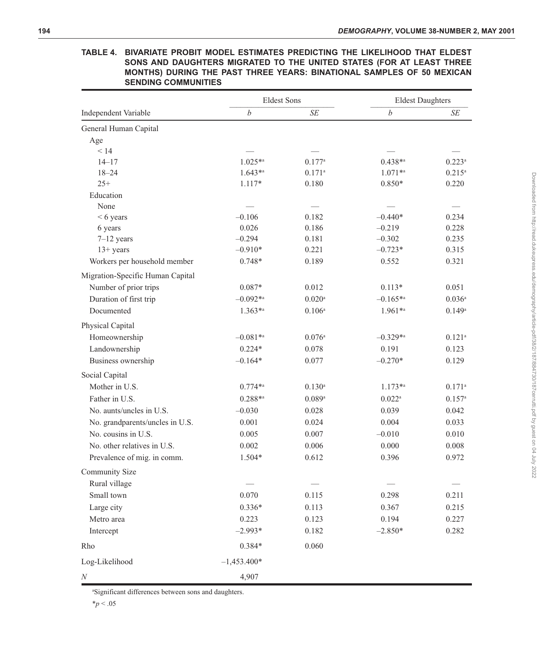|                                  | <b>Eldest Sons</b> |                      | <b>Eldest Daughters</b> |                      |
|----------------------------------|--------------------|----------------------|-------------------------|----------------------|
| Independent Variable             | $\boldsymbol{b}$   | SE                   | $\boldsymbol{b}$        | <b>SE</b>            |
| General Human Capital            |                    |                      |                         |                      |
| Age                              |                    |                      |                         |                      |
| < 14                             |                    |                      |                         |                      |
| $14 - 17$                        | $1.025**$          | 0.177a               | $0.438**$               | $0.223$ <sup>a</sup> |
| $18 - 24$                        | $1.643**$          | $0.171^{\rm a}$      | $1.071**$               | $0.215^a$            |
| $25+$                            | $1.117*$           | 0.180                | $0.850*$                | 0.220                |
| Education                        |                    |                      |                         |                      |
| None                             |                    |                      |                         |                      |
| $< 6$ years                      | $-0.106$           | 0.182                | $-0.440*$               | 0.234                |
| 6 years                          | 0.026              | 0.186                | $-0.219$                | 0.228                |
| $7-12$ years                     | $-0.294$           | 0.181                | $-0.302$                | 0.235                |
| $13+ years$                      | $-0.910*$          | 0.221                | $-0.723*$               | 0.315                |
| Workers per household member     | $0.748*$           | 0.189                | 0.552                   | 0.321                |
| Migration-Specific Human Capital |                    |                      |                         |                      |
| Number of prior trips            | $0.087*$           | 0.012                | $0.113*$                | 0.051                |
| Duration of first trip           | $-0.092**$         | $0.020$ <sup>a</sup> | $-0.165**$              | $0.036$ <sup>a</sup> |
| Documented                       | $1.363^{*a}$       | $0.106^{\rm a}$      | 1.961*a                 | $0.149$ <sup>a</sup> |
| Physical Capital                 |                    |                      |                         |                      |
| Homeownership                    | $-0.081**$         | $0.076^{\rm a}$      | $-0.329**$              | $0.121$ <sup>a</sup> |
| Landownership                    | $0.224*$           | 0.078                | 0.191                   | 0.123                |
| Business ownership               | $-0.164*$          | 0.077                | $-0.270*$               | 0.129                |
| Social Capital                   |                    |                      |                         |                      |
| Mother in U.S.                   | $0.774**$          | $0.130^{a}$          | $1.173**$               | $0.171$ <sup>a</sup> |
| Father in U.S.                   | $0.288**$          | 0.089a               | $0.022$ <sup>a</sup>    | $0.157$ <sup>a</sup> |
| No. aunts/uncles in U.S.         | $-0.030$           | 0.028                | 0.039                   | 0.042                |
| No. grandparents/uncles in U.S.  | 0.001              | 0.024                | 0.004                   | 0.033                |
| No. cousins in U.S.              | 0.005              | 0.007                | $-0.010$                | 0.010                |
| No. other relatives in U.S.      | 0.002              | 0.006                | 0.000                   | 0.008                |
| Prevalence of mig. in comm.      | 1.504*             | 0.612                | 0.396                   | 0.972                |
| Community Size                   |                    |                      |                         |                      |
| Rural village                    |                    |                      |                         |                      |
| Small town                       | 0.070              | 0.115                | 0.298                   | 0.211                |
| Large city                       | $0.336*$           | 0.113                | 0.367                   | 0.215                |
| Metro area                       | 0.223              | 0.123                | 0.194                   | 0.227                |
| Intercept                        | $-2.993*$          | 0.182                | $-2.850*$               | 0.282                |
| Rho                              | $0.384*$           | 0.060                |                         |                      |
|                                  | $-1,453.400*$      |                      |                         |                      |
| Log-Likelihood                   |                    |                      |                         |                      |
| $\boldsymbol{N}$                 | 4,907              |                      |                         |                      |

**TABLE 4. BIVARIATE PROBIT MODEL ESTIMATES PREDICTING THE LIKELIHOOD THAT ELDEST SONS AND DAUGHTERS MIGRATED TO THE UNITED STATES (FOR AT LEAST THREE MONTHS) DURING THE PAST THREE YEARS: BINATIONAL SAMPLES OF 50 MEXICAN SENDING COMMUNITIES**

a Significant differences between sons and daughters.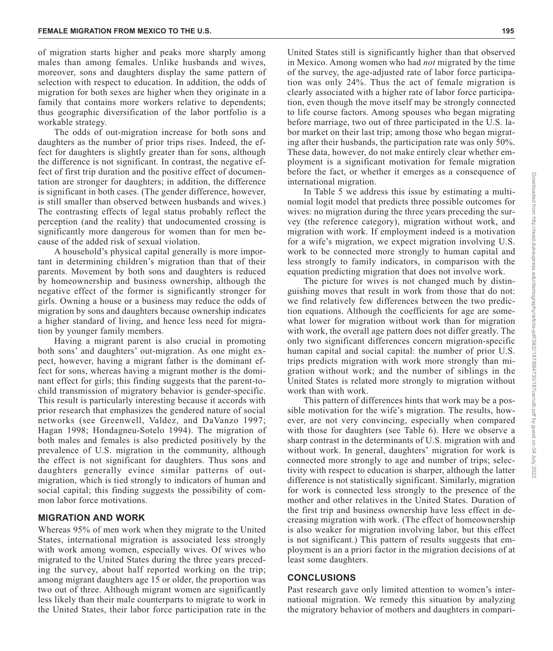of migration starts higher and peaks more sharply among males than among females. Unlike husbands and wives, moreover, sons and daughters display the same pattern of selection with respect to education. In addition, the odds of migration for both sexes are higher when they originate in a family that contains more workers relative to dependents; thus geographic diversification of the labor portfolio is a workable strategy.

The odds of out-migration increase for both sons and daughters as the number of prior trips rises. Indeed, the effect for daughters is slightly greater than for sons, although the difference is not significant. In contrast, the negative effect of first trip duration and the positive effect of documentation are stronger for daughters; in addition, the difference is significant in both cases. (The gender difference, however, is still smaller than observed between husbands and wives.) The contrasting effects of legal status probably reflect the perception (and the reality) that undocumented crossing is significantly more dangerous for women than for men because of the added risk of sexual violation.

A household's physical capital generally is more important in determining children's migration than that of their parents. Movement by both sons and daughters is reduced by homeownership and business ownership, although the negative effect of the former is significantly stronger for girls. Owning a house or a business may reduce the odds of migration by sons and daughters because ownership indicates a higher standard of living, and hence less need for migration by younger family members.

Having a migrant parent is also crucial in promoting both sons' and daughters' out-migration. As one might expect, however, having a migrant father is the dominant effect for sons, whereas having a migrant mother is the dominant effect for girls; this finding suggests that the parent-tochild transmission of migratory behavior is gender-specific. This result is particularly interesting because it accords with prior research that emphasizes the gendered nature of social networks (see Greenwell, Valdez, and DaVanzo 1997; Hagan 1998; Hondagneu-Sotelo 1994). The migration of both males and females is also predicted positively by the prevalence of U.S. migration in the community, although the effect is not significant for daughters. Thus sons and daughters generally evince similar patterns of outmigration, which is tied strongly to indicators of human and social capital; this finding suggests the possibility of common labor force motivations.

# **MIGRATION AND WORK**

Whereas 95% of men work when they migrate to the United States, international migration is associated less strongly with work among women, especially wives. Of wives who migrated to the United States during the three years preceding the survey, about half reported working on the trip; among migrant daughters age 15 or older, the proportion was two out of three. Although migrant women are significantly less likely than their male counterparts to migrate to work in the United States, their labor force participation rate in the

United States still is significantly higher than that observed in Mexico. Among women who had *not* migrated by the time of the survey, the age-adjusted rate of labor force participation was only 24%. Thus the act of female migration is clearly associated with a higher rate of labor force participation, even though the move itself may be strongly connected to life course factors. Among spouses who began migrating before marriage, two out of three participated in the U.S. labor market on their last trip; among those who began migrating after their husbands, the participation rate was only 50%. These data, however, do not make entirely clear whether employment is a significant motivation for female migration before the fact, or whether it emerges as a consequence of international migration.

In Table 5 we address this issue by estimating a multinomial logit model that predicts three possible outcomes for wives: no migration during the three years preceding the survey (the reference category), migration without work, and migration with work. If employment indeed is a motivation for a wife's migration, we expect migration involving U.S. work to be connected more strongly to human capital and less strongly to family indicators, in comparison with the equation predicting migration that does not involve work.

The picture for wives is not changed much by distinguishing moves that result in work from those that do not: we find relatively few differences between the two prediction equations. Although the coefficients for age are somewhat lower for migration without work than for migration with work, the overall age pattern does not differ greatly. The only two significant differences concern migration-specific human capital and social capital: the number of prior U.S. trips predicts migration with work more strongly than migration without work; and the number of siblings in the United States is related more strongly to migration without work than with work.

This pattern of differences hints that work may be a possible motivation for the wife's migration. The results, however, are not very convincing, especially when compared with those for daughters (see Table 6). Here we observe a sharp contrast in the determinants of U.S. migration with and without work. In general, daughters' migration for work is connected more strongly to age and number of trips; selectivity with respect to education is sharper, although the latter difference is not statistically significant. Similarly, migration for work is connected less strongly to the presence of the mother and other relatives in the United States. Duration of the first trip and business ownership have less effect in decreasing migration with work. (The effect of homeownership is also weaker for migration involving labor, but this effect is not significant.) This pattern of results suggests that employment is an a priori factor in the migration decisions of at least some daughters.

# **CONCLUSIONS**

Past research gave only limited attention to women's international migration. We remedy this situation by analyzing the migratory behavior of mothers and daughters in compari-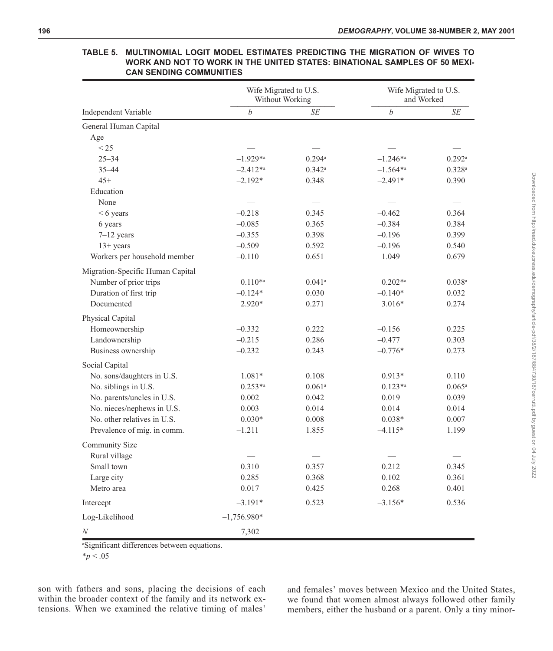|                                  | Wife Migrated to U.S.<br>Without Working |                      | Wife Migrated to U.S.<br>and Worked |                      |
|----------------------------------|------------------------------------------|----------------------|-------------------------------------|----------------------|
| Independent Variable             | $\boldsymbol{b}$                         | SE                   | b                                   | SE                   |
| General Human Capital            |                                          |                      |                                     |                      |
| Age                              |                                          |                      |                                     |                      |
| < 25                             |                                          |                      |                                     |                      |
| $25 - 34$                        | $-1.929**$                               | 0.294a               | $-1.246**$                          | $0.292$ <sup>a</sup> |
| $35 - 44$                        | $-2.412**$                               | $0.342^{\rm a}$      | $-1.564**$                          | 0.328a               |
| $45+$                            | $-2.192*$                                | 0.348                | $-2.491*$                           | 0.390                |
| Education                        |                                          |                      |                                     |                      |
| None                             |                                          |                      |                                     |                      |
| $< 6$ years                      | $-0.218$                                 | 0.345                | $-0.462$                            | 0.364                |
| 6 years                          | $-0.085$                                 | 0.365                | $-0.384$                            | 0.384                |
| $7-12$ years                     | $-0.355$                                 | 0.398                | $-0.196$                            | 0.399                |
| $13+$ years                      | $-0.509$                                 | 0.592                | $-0.196$                            | 0.540                |
| Workers per household member     | $-0.110$                                 | 0.651                | 1.049                               | 0.679                |
| Migration-Specific Human Capital |                                          |                      |                                     |                      |
| Number of prior trips            | $0.110^{*a}$                             | $0.041$ <sup>a</sup> | $0.202**$                           | $0.038$ <sup>a</sup> |
| Duration of first trip           | $-0.124*$                                | 0.030                | $-0.140*$                           | 0.032                |
| Documented                       | 2.920*                                   | 0.271                | $3.016*$                            | 0.274                |
| Physical Capital                 |                                          |                      |                                     |                      |
| Homeownership                    | $-0.332$                                 | 0.222                | $-0.156$                            | 0.225                |
| Landownership                    | $-0.215$                                 | 0.286                | $-0.477$                            | 0.303                |
| Business ownership               | $-0.232$                                 | 0.243                | $-0.776*$                           | 0.273                |
| Social Capital                   |                                          |                      |                                     |                      |
| No. sons/daughters in U.S.       | $1.081*$                                 | 0.108                | $0.913*$                            | 0.110                |
| No. siblings in U.S.             | $0.253^{*a}$                             | $0.061$ <sup>a</sup> | $0.123**$                           | $0.065^{\rm a}$      |
| No. parents/uncles in U.S.       | 0.002                                    | 0.042                | 0.019                               | 0.039                |
| No. nieces/nephews in U.S.       | 0.003                                    | 0.014                | 0.014                               | 0.014                |
| No. other relatives in U.S.      | $0.030*$                                 | 0.008                | $0.038*$                            | 0.007                |
| Prevalence of mig. in comm.      | $-1.211$                                 | 1.855                | $-4.115*$                           | 1.199                |
| Community Size                   |                                          |                      |                                     |                      |
| Rural village                    |                                          |                      |                                     |                      |
| Small town                       | 0.310                                    | 0.357                | 0.212                               | 0.345                |
| Large city                       | 0.285                                    | 0.368                | 0.102                               | 0.361                |
| Metro area                       | 0.017                                    | 0.425                | 0.268                               | 0.401                |
| Intercept                        | $-3.191*$                                | 0.523                | $-3.156*$                           | 0.536                |
| Log-Likelihood                   | $-1,756.980*$                            |                      |                                     |                      |
| $\boldsymbol{N}$                 | 7,302                                    |                      |                                     |                      |

## **TABLE 5. MULTINOMIAL LOGIT MODEL ESTIMATES PREDICTING THE MIGRATION OF WIVES TO WORK AND NOT TO WORK IN THE UNITED STATES: BINATIONAL SAMPLES OF 50 MEXI-CAN SENDING COMMUNITIES**

a Significant differences between equations.

 $*_{p}$  < .05

son with fathers and sons, placing the decisions of each within the broader context of the family and its network extensions. When we examined the relative timing of males'

and females' moves between Mexico and the United States, we found that women almost always followed other family members, either the husband or a parent. Only a tiny minor-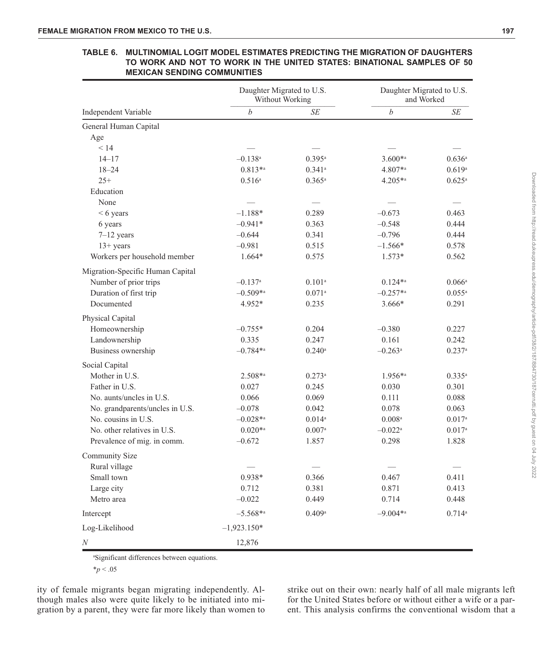|                                  | Daughter Migrated to U.S.<br>Without Working |                      | Daughter Migrated to U.S.<br>and Worked |                      |
|----------------------------------|----------------------------------------------|----------------------|-----------------------------------------|----------------------|
| Independent Variable             | $\boldsymbol{b}$                             | SE                   | $\boldsymbol{b}$                        | SE                   |
| General Human Capital            |                                              |                      |                                         |                      |
| Age                              |                                              |                      |                                         |                      |
| < 14                             |                                              |                      |                                         |                      |
| $14 - 17$                        | $-0.138$ <sup>a</sup>                        | $0.395^{\rm a}$      | $3.600*$                                | $0.636^{\rm a}$      |
| $18 - 24$                        | $0.813**$                                    | $0.341$ <sup>a</sup> | 4.807*a                                 | 0.619a               |
| $25+$                            | $0.516^{\rm a}$                              | $0.365^{\rm a}$      | $4.205**$                               | $0.625^{\rm a}$      |
| Education                        |                                              |                      |                                         |                      |
| None                             |                                              |                      |                                         |                      |
| $< 6$ years                      | $-1.188*$                                    | 0.289                | $-0.673$                                | 0.463                |
| 6 years                          | $-0.941*$                                    | 0.363                | $-0.548$                                | 0.444                |
| $7-12$ years                     | $-0.644$                                     | 0.341                | $-0.796$                                | 0.444                |
| $13+$ years                      | $-0.981$                                     | 0.515                | $-1.566*$                               | 0.578                |
| Workers per household member     | 1.664*                                       | 0.575                | $1.573*$                                | 0.562                |
| Migration-Specific Human Capital |                                              |                      |                                         |                      |
| Number of prior trips            | $-0.137$ <sup>a</sup>                        | $0.101$ <sup>a</sup> | $0.124**$                               | $0.066^{\rm a}$      |
| Duration of first trip           | $-0.509**$                                   | $0.071$ <sup>a</sup> | $-0.257**$                              | $0.055^{\rm a}$      |
| Documented                       | 4.952*                                       | 0.235                | 3.666*                                  | 0.291                |
| Physical Capital                 |                                              |                      |                                         |                      |
| Homeownership                    | $-0.755*$                                    | 0.204                | $-0.380$                                | 0.227                |
| Landownership                    | 0.335                                        | 0.247                | 0.161                                   | 0.242                |
| Business ownership               | $-0.784**$                                   | $0.240$ <sup>a</sup> | $-0.263$ <sup>a</sup>                   | $0.237$ <sup>a</sup> |
| Social Capital                   |                                              |                      |                                         |                      |
| Mother in U.S.                   | 2.508*a                                      | 0.273a               | 1.956*a                                 | $0.335^{a}$          |
| Father in U.S.                   | 0.027                                        | 0.245                | 0.030                                   | 0.301                |
| No. aunts/uncles in U.S.         | 0.066                                        | 0.069                | 0.111                                   | 0.088                |
| No. grandparents/uncles in U.S.  | $-0.078$                                     | 0.042                | 0.078                                   | 0.063                |
| No. cousins in U.S.              | $-0.028**$                                   | $0.014^{\rm a}$      | $0.008^{\rm a}$                         | $0.017^{a}$          |
| No. other relatives in U.S.      | $0.020**$                                    | $0.007$ <sup>a</sup> | $-0.022$ <sup>a</sup>                   | $0.017^{\rm a}$      |
| Prevalence of mig. in comm.      | $-0.672$                                     | 1.857                | 0.298                                   | 1.828                |
| Community Size                   |                                              |                      |                                         |                      |
| Rural village                    |                                              |                      |                                         |                      |
| Small town                       | $0.938*$                                     | 0.366                | 0.467                                   | 0.411                |
| Large city                       | 0.712                                        | 0.381                | 0.871                                   | 0.413                |
| Metro area                       | $-0.022$                                     | 0.449                | 0.714                                   | 0.448                |
| Intercept                        | $-5.568**$                                   | 0.409a               | $-9.004**$                              | 0.714a               |
| Log-Likelihood                   | $-1,923.150*$                                |                      |                                         |                      |
| N                                | 12.876                                       |                      |                                         |                      |

#### **TABLE 6. MULTINOMIAL LOGIT MODEL ESTIMATES PREDICTING THE MIGRATION OF DAUGHTERS TO WORK AND NOT TO WORK IN THE UNITED STATES: BINATIONAL SAMPLES OF 50 MEXICAN SENDING COMMUNITIES**

a Significant differences between equations.

\**p* < .05

ity of female migrants began migrating independently. Although males also were quite likely to be initiated into migration by a parent, they were far more likely than women to strike out on their own: nearly half of all male migrants left for the United States before or without either a wife or a parent. This analysis confirms the conventional wisdom that a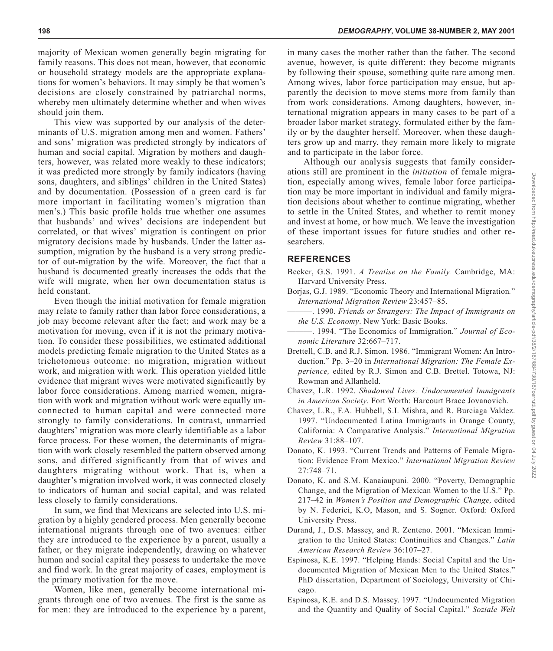This view was supported by our analysis of the determinants of U.S. migration among men and women. Fathers' and sons' migration was predicted strongly by indicators of human and social capital. Migration by mothers and daughters, however, was related more weakly to these indicators; it was predicted more strongly by family indicators (having sons, daughters, and siblings' children in the United States) and by documentation. (Possession of a green card is far more important in facilitating women's migration than men's.) This basic profile holds true whether one assumes that husbands' and wives' decisions are independent but correlated, or that wives' migration is contingent on prior migratory decisions made by husbands. Under the latter assumption, migration by the husband is a very strong predictor of out-migration by the wife. Moreover, the fact that a husband is documented greatly increases the odds that the wife will migrate, when her own documentation status is held constant.

Even though the initial motivation for female migration may relate to family rather than labor force considerations, a job may become relevant after the fact; and work may be a motivation for moving, even if it is not the primary motivation. To consider these possibilities, we estimated additional models predicting female migration to the United States as a trichotomous outcome: no migration, migration without work, and migration with work. This operation yielded little evidence that migrant wives were motivated significantly by labor force considerations. Among married women, migration with work and migration without work were equally unconnected to human capital and were connected more strongly to family considerations. In contrast, unmarried daughters' migration was more clearly identifiable as a labor force process. For these women, the determinants of migration with work closely resembled the pattern observed among sons, and differed significantly from that of wives and daughters migrating without work. That is, when a daughter's migration involved work, it was connected closely to indicators of human and social capital, and was related less closely to family considerations.

In sum, we find that Mexicans are selected into U.S. migration by a highly gendered process. Men generally become international migrants through one of two avenues: either they are introduced to the experience by a parent, usually a father, or they migrate independently, drawing on whatever human and social capital they possess to undertake the move and find work. In the great majority of cases, employment is the primary motivation for the move.

Women, like men, generally become international migrants through one of two avenues. The first is the same as for men: they are introduced to the experience by a parent, in many cases the mother rather than the father. The second avenue, however, is quite different: they become migrants by following their spouse, something quite rare among men. Among wives, labor force participation may ensue, but apparently the decision to move stems more from family than from work considerations. Among daughters, however, international migration appears in many cases to be part of a broader labor market strategy, formulated either by the family or by the daughter herself. Moreover, when these daughters grow up and marry, they remain more likely to migrate and to participate in the labor force.

Although our analysis suggests that family considerations still are prominent in the *initiation* of female migration, especially among wives, female labor force participation may be more important in individual and family migration decisions about whether to continue migrating, whether to settle in the United States, and whether to remit money and invest at home, or how much. We leave the investigation of these important issues for future studies and other researchers.

# **REFERENCES**

- Becker, G.S. 1991. *A Treatise on the Family.* Cambridge, MA: Harvard University Press.
- Borjas, G.J. 1989. "Economic Theory and International Migration*.*" *International Migration Review* 23:457–85.
- ———. 1990. *Friends or Strangers: The Impact of Immigrants on the U.S. Economy*. New York: Basic Books.
- ———. 1994. "The Economics of Immigration." *Journal of Economic Literature* 32:667–717.
- Brettell, C.B. and R.J. Simon. 1986. "Immigrant Women: An Introduction." Pp. 3–20 in *International Migration: The Female Experience,* edited by R.J. Simon and C.B. Brettel. Totowa, NJ: Rowman and Allanheld.
- Chavez, L.R. 1992. *Shadowed Lives: Undocumented Immigrants in American Society*. Fort Worth: Harcourt Brace Jovanovich.
- Chavez, L.R., F.A. Hubbell, S.I. Mishra, and R. Burciaga Valdez. 1997. "Undocumented Latina Immigrants in Orange County, California: A Comparative Analysis." *International Migration Review* 31:88–107.
- Donato, K. 1993. "Current Trends and Patterns of Female Migration: Evidence From Mexico." *International Migration Review* 27:748–71.
- Donato, K. and S.M. Kanaiaupuni. 2000. "Poverty, Demographic Change, and the Migration of Mexican Women to the U.S." Pp. 217–42 in *Women's Position and Demographic Change,* edited by N. Federici, K.O, Mason, and S. Sogner. Oxford: Oxford University Press.
- Durand, J., D.S. Massey, and R. Zenteno. 2001. "Mexican Immigration to the United States: Continuities and Changes." *Latin American Research Review* 36:107–27.
- Espinosa, K.E. 1997. "Helping Hands: Social Capital and the Undocumented Migration of Mexican Men to the United States." PhD dissertation, Department of Sociology, University of Chicago.
- Espinosa, K.E. and D.S. Massey. 1997. "Undocumented Migration and the Quantity and Quality of Social Capital." *Soziale Welt*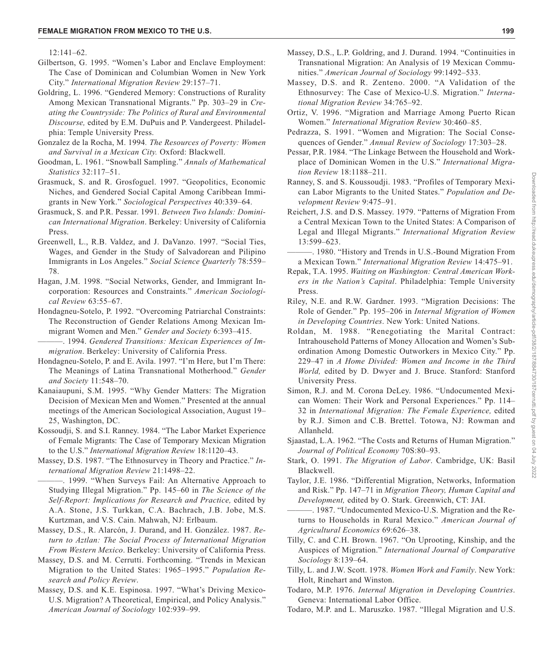$12:141-62$ .

- Gilbertson, G. 1995. "Women's Labor and Enclave Employment: The Case of Dominican and Columbian Women in New York City." *International Migration Review* 29:157–71.
- Goldring, L. 1996. "Gendered Memory: Constructions of Rurality Among Mexican Transnational Migrants." Pp. 303–29 in *Creating the Countryside: The Politics of Rural and Environmental Discourse,* edited by E.M. DuPuis and P. Vandergeest. Philadelphia: Temple University Press.
- Gonzalez de la Rocha, M. 1994*. The Resources of Poverty: Women and Survival in a Mexican City.* Oxford: Blackwell.
- Goodman, L. 1961. "Snowball Sampling." *Annals of Mathematical Statistics* 32:117–51.
- Grasmuck, S. and R. Grosfoguel. 1997. "Geopolitics, Economic Niches, and Gendered Social Capital Among Caribbean Immigrants in New York." *Sociological Perspectives* 40:339–64.
- Grasmuck, S. and P.R. Pessar. 1991*. Between Two Islands: Dominican International Migration*. Berkeley: University of California Press.
- Greenwell, L., R.B. Valdez, and J. DaVanzo. 1997. "Social Ties, Wages, and Gender in the Study of Salvadorean and Pilipino Immigrants in Los Angeles." *Social Science Quarterly* 78:559– 78.
- Hagan, J.M. 1998. "Social Networks, Gender, and Immigrant Incorporation: Resources and Constraints." *American Sociological Review* 63:55–67.
- Hondagneu-Sotelo, P. 1992. "Overcoming Patriarchal Constraints: The Reconstruction of Gender Relations Among Mexican Immigrant Women and Men." *Gender and Society* 6:393–415.
- ———. 1994. *Gendered Transitions: Mexican Experiences of Immigration*. Berkeley: University of California Press.
- Hondagneu-Sotelo, P. and E. Avila. 1997. "I'm Here, but I'm There: The Meanings of Latina Transnational Motherhood." *Gender and Society* 11:548–70.
- Kanaiaupuni, S.M. 1995. "Why Gender Matters: The Migration Decision of Mexican Men and Women." Presented at the annual meetings of the American Sociological Association, August 19– 25, Washington, DC.
- Kossoudji, S. and S.I. Ranney. 1984. "The Labor Market Experience of Female Migrants: The Case of Temporary Mexican Migration to the U.S." *International Migration Review* 18:1120–43.
- Massey, D.S. 1987. "The Ethnosurvey in Theory and Practice." *International Migration Review* 21:1498–22.
- ———. 1999. "When Surveys Fail: An Alternative Approach to Studying Illegal Migration." Pp. 145–60 in *The Science of the Self-Report: Implications for Research and Practice,* edited by A.A. Stone, J.S. Turkkan, C.A. Bachrach, J.B. Jobe, M.S. Kurtzman, and V.S. Cain. Mahwah, NJ: Erlbaum.
- Massey, D.S., R. Alarcón, J. Durand, and H. González. 1987. *Return to Aztlan: The Social Process of International Migration From Western Mexico*. Berkeley: University of California Press.
- Massey, D.S. and M. Cerrutti. Forthcoming. "Trends in Mexican Migration to the United States: 1965–1995." *Population Research and Policy Review*.
- Massey, D.S. and K.E. Espinosa. 1997. "What's Driving Mexico-U.S. Migration? A Theoretical, Empirical, and Policy Analysis." *American Journal of Sociology* 102:939–99.
- Massey, D.S., L.P. Goldring, and J. Durand. 1994. "Continuities in Transnational Migration: An Analysis of 19 Mexican Communities." *American Journal of Sociology* 99:1492–533.
- Massey, D.S. and R. Zenteno. 2000. "A Validation of the Ethnosurvey: The Case of Mexico-U.S. Migration." *International Migration Review* 34:765–92.
- Ortiz, V. 1996. "Migration and Marriage Among Puerto Rican Women." *International Migration Review* 30:460–85.
- Pedrazza, S. 1991. "Women and Migration: The Social Consequences of Gender." *Annual Review of Sociology* 17:303–28.
- Pessar, P.R. 1984. "The Linkage Between the Household and Workplace of Dominican Women in the U.S." *International Migration Review* 18:1188–211.
- Ranney, S. and S. Koussoudji. 1983. "Profiles of Temporary Mexican Labor Migrants to the United States." *Population and Development Review* 9:475–91.
- Reichert, J.S. and D.S. Massey. 1979. "Patterns of Migration From a Central Mexican Town to the United States: A Comparison of Legal and Illegal Migrants." *International Migration Review* 13:599–623.
- ———. 1980. "History and Trends in U.S.-Bound Migration From a Mexican Town." *International Migration Review* 14:475–91.
- Repak, T.A. 1995. *Waiting on Washington: Central American Workers in the Nation's Capital*. Philadelphia: Temple University Press.
- Riley, N.E. and R.W. Gardner. 1993. "Migration Decisions: The Role of Gender." Pp. 195–206 in *Internal Migration of Women in Developing Countries*. New York: United Nations.
- Roldan, M. 1988. "Renegotiating the Marital Contract: Intrahousehold Patterns of Money Allocation and Women's Subordination Among Domestic Outworkers in Mexico City." Pp. 229–47 in *A Home Divided: Women and Income in the Third World,* edited by D. Dwyer and J. Bruce. Stanford: Stanford University Press.
- Simon, R.J. and M. Corona DeLey. 1986. "Undocumented Mexican Women: Their Work and Personal Experiences." Pp. 114– 32 in *International Migration: The Female Experience,* edited by R.J. Simon and C.B. Brettel. Totowa, NJ: Rowman and Allanheld.
- Sjaastad, L.A. 1962. "The Costs and Returns of Human Migration." *Journal of Political Economy* 70S:80–93.
- Stark, O. 1991. *The Migration of Labor*. Cambridge, UK: Basil Blackwell.
- Taylor, J.E. 1986. "Differential Migration, Networks, Information and Risk." Pp. 147–71 in *Migration Theory, Human Capital and Development,* edited by O. Stark. Greenwich, CT: JAI.
- ———. 1987. "Undocumented Mexico-U.S. Migration and the Returns to Households in Rural Mexico." *American Journal of Agricultural Economics* 69:626–38.
- Tilly, C. and C.H. Brown. 1967. "On Uprooting, Kinship, and the Auspices of Migration." *International Journal of Comparative Sociology* 8:139–64.
- Tilly, L. and J.W. Scott. 1978. *Women Work and Family*. New York: Holt, Rinehart and Winston.
- Todaro, M.P. 1976. *Internal Migration in Developing Countries*. Geneva: International Labor Office.
- Todaro, M.P. and L. Maruszko. 1987. "Illegal Migration and U.S.